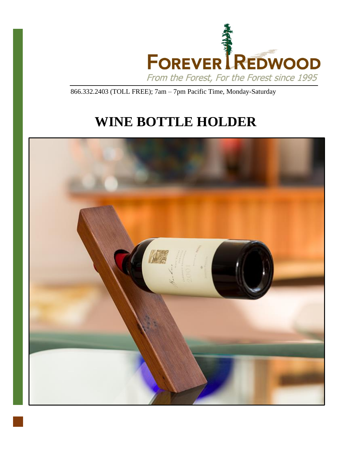

866.332.2403 (TOLL FREE); 7am – 7pm Pacific Time, Monday-Saturday

# **WINE BOTTLE HOLDER**

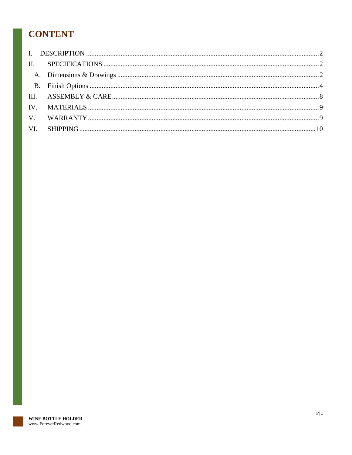# **CONTENT**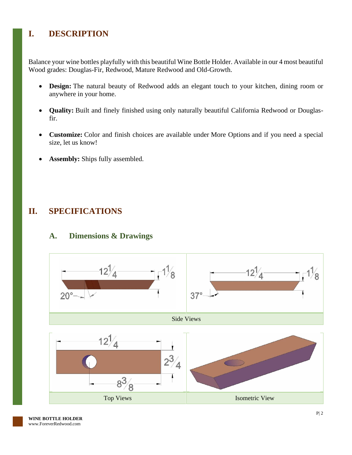# <span id="page-2-0"></span>**I. DESCRIPTION**

Balance your wine bottles playfully with this beautiful Wine Bottle Holder. Available in our 4 most beautiful Wood grades: Douglas-Fir, Redwood, Mature Redwood and Old-Growth.

- **Design:** The natural beauty of Redwood adds an elegant touch to your kitchen, dining room or anywhere in your home.
- **Quality:** Built and finely finished using only naturally beautiful California Redwood or Douglasfir.
- **Customize:** Color and finish choices are available under More Options and if you need a special size, let us know!
- Assembly: Ships fully assembled.

## <span id="page-2-1"></span>**II. SPECIFICATIONS**

# <span id="page-2-2"></span>**A. Dimensions & Drawings**

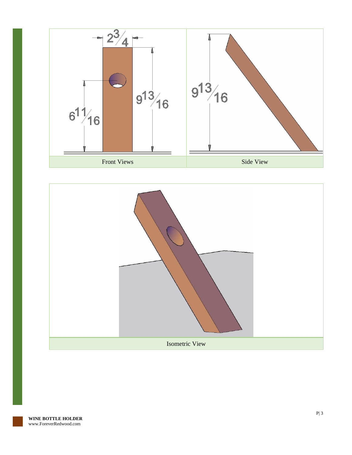

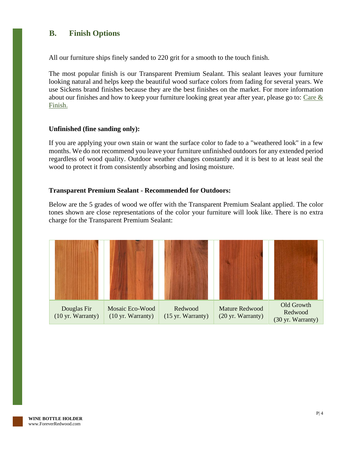#### <span id="page-4-0"></span>**B. Finish Options**

All our furniture ships finely sanded to 220 grit for a smooth to the touch finish.

The most popular finish is our Transparent Premium Sealant. This sealant leaves your furniture looking natural and helps keep the beautiful wood surface colors from fading for several years. We use Sickens brand finishes because they are the best finishes on the market. For more information about our finishes and how to keep your furniture looking great year after year, please go to: [Care &](https://www.foreverredwood.com/redwood-furniture/care-finish/)  [Finish.](https://www.foreverredwood.com/redwood-furniture/care-finish/)

#### **Unfinished (fine sanding only):**

If you are applying your own stain or want the surface color to fade to a "weathered look" in a few months. We do not recommend you leave your furniture unfinished outdoors for any extended period regardless of wood quality. Outdoor weather changes constantly and it is best to at least seal the wood to protect it from consistently absorbing and losing moisture.

#### **Transparent Premium Sealant - Recommended for Outdoors:**

Below are the 5 grades of wood we offer with the Transparent Premium Sealant applied. The color tones shown are close representations of the color your furniture will look like. There is no extra charge for the Transparent Premium Sealant:

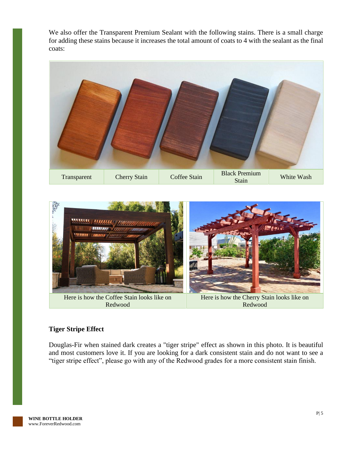We also offer the Transparent Premium Sealant with the following stains. There is a small charge for adding these stains because it increases the total amount of coats to 4 with the sealant as the final coats:





#### **Tiger Stripe Effect**

Douglas-Fir when stained dark creates a "tiger stripe" effect as shown in this photo. It is beautiful and most customers love it. If you are looking for a dark consistent stain and do not want to see a "tiger stripe effect", please go with any of the Redwood grades for a more consistent stain finish.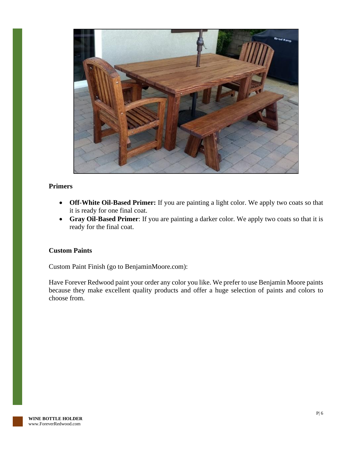

#### **Primers**

- **Off-White Oil-Based Primer:** If you are painting a light color. We apply two coats so that it is ready for one final coat.
- **Gray Oil-Based Primer**: If you are painting a darker color. We apply two coats so that it is ready for the final coat.

#### **Custom Paints**

Custom Paint Finish (go to BenjaminMoore.com):

Have Forever Redwood paint your order any color you like. We prefer to use Benjamin Moore paints because they make excellent quality products and offer a huge selection of paints and colors to choose from.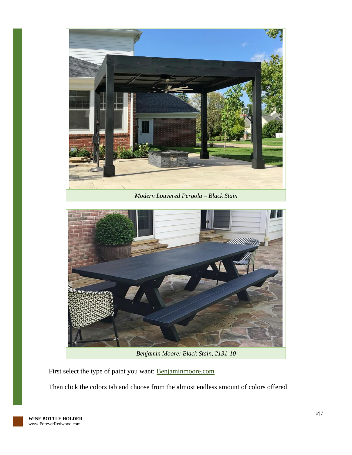



*Benjamin Moore: Black Stain, 2131-10*

First select the type of paint you want: [Benjaminmoore.com](http://www.benjaminmoore.com/)

Then click the colors tab and choose from the almost endless amount of colors offered.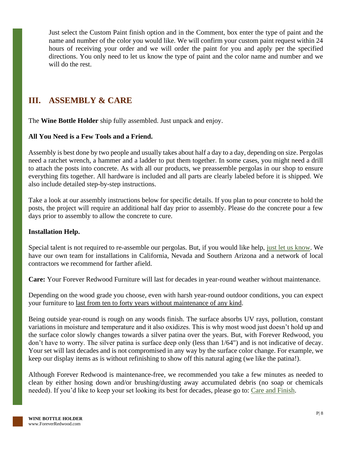Just select the Custom Paint finish option and in the Comment, box enter the type of paint and the name and number of the color you would like. We will confirm your custom paint request within 24 hours of receiving your order and we will order the paint for you and apply per the specified directions. You only need to let us know the type of paint and the color name and number and we will do the rest.

## <span id="page-8-0"></span>**III. ASSEMBLY & CARE**

The **Wine Bottle Holder** ship fully assembled. Just unpack and enjoy.

#### **All You Need is a Few Tools and a Friend.**

Assembly is best done by two people and usually takes about half a day to a day, depending on size. Pergolas need a ratchet wrench, a hammer and a ladder to put them together. In some cases, you might need a drill to attach the posts into concrete. As with all our products, we preassemble pergolas in our shop to ensure everything fits together. All hardware is included and all parts are clearly labeled before it is shipped. We also include detailed step-by-step instructions.

Take a look at our assembly instructions below for specific details. If you plan to pour concrete to hold the posts, the project will require an additional half day prior to assembly. Please do the concrete pour a few days prior to assembly to allow the concrete to cure.

#### **Installation Help.**

Special talent is not required to re-assemble our pergolas. But, if you would like help, [just let us know.](https://www.foreverredwood.com/information/contact) We have our own team for installations in California, Nevada and Southern Arizona and a network of local contractors we recommend for farther afield.

**Care:** Your Forever Redwood Furniture will last for decades in year-round weather without maintenance.

Depending on the wood grade you choose, even with harsh year-round outdoor conditions, you can expect your furniture to last from ten to forty years without maintenance of any kind.

Being outside year-round is rough on any woods finish. The surface absorbs UV rays, pollution, constant variations in moisture and temperature and it also oxidizes. This is why most wood just doesn't hold up and the surface color slowly changes towards a silver patina over the years. But, with Forever Redwood, you don't have to worry. The silver patina is surface deep only (less than 1/64") and is not indicative of decay. Your set will last decades and is not compromised in any way by the surface color change. For example, we keep our display items as is without refinishing to show off this natural aging (we like the patina!).

Although Forever Redwood is maintenance-free, we recommended you take a few minutes as needed to clean by either hosing down and/or brushing/dusting away accumulated debris (no soap or chemicals needed). If you'd like to keep your set looking its best for decades, please go to: [Care and Finish.](https://www.foreverredwood.com/redwood-furniture/care-finish)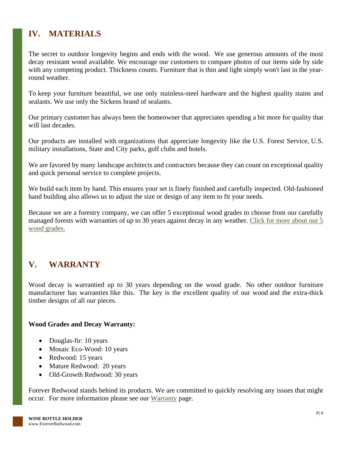# <span id="page-9-0"></span>**IV. MATERIALS**

The secret to outdoor longevity begins and ends with the wood. We use generous amounts of the most decay resistant wood available. We encourage our customers to compare photos of our items side by side with any competing product. Thickness counts. Furniture that is thin and light simply won't last in the yearround weather.

To keep your furniture beautiful, we use only stainless-steel hardware and the highest quality stains and sealants. We use only the Sickens brand of sealants.

Our primary customer has always been the homeowner that appreciates spending a bit more for quality that will last decades.

Our products are installed with organizations that appreciate longevity like the U.S. Forest Service, U.S. military installations, State and City parks, golf clubs and hotels.

We are favored by many landscape architects and contractors because they can count on exceptional quality and quick personal service to complete projects.

We build each item by hand. This ensures your set is finely finished and carefully inspected. Old-fashioned hand building also allows us to adjust the size or design of any item to fit your needs.

Because we are a forestry company, we can offer 5 exceptional wood grades to choose from our carefully managed forests with warranties of up to 30 years against decay in any weather. [Click for more about our 5](https://www.foreverredwood.com/redwood-furniture/wood-grade/)  [wood grades.](https://www.foreverredwood.com/redwood-furniture/wood-grade/)

# <span id="page-9-1"></span>**V. WARRANTY**

Wood decay is warrantied up to 30 years depending on the wood grade. No other outdoor furniture manufacturer has warranties like this. The key is the excellent quality of our wood and the extra-thick timber designs of all our pieces.

#### **Wood Grades and Decay Warranty:**

- Douglas-fir: 10 years
- Mosaic Eco-Wood: 10 years
- Redwood: 15 years
- Mature Redwood: 20 years
- Old-Growth Redwood: 30 years

Forever Redwood stands behind its products. We are committed to quickly resolving any issues that might occur. For more information please see our [Warranty](https://www.foreverredwood.com/redwood-furniture/warranty) page.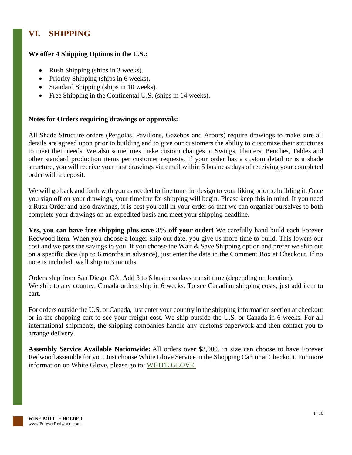# <span id="page-10-0"></span>**VI. SHIPPING**

#### **We offer 4 Shipping Options in the U.S.:**

- Rush Shipping (ships in 3 weeks).
- Priority Shipping (ships in 6 weeks).
- Standard Shipping (ships in 10 weeks).
- Free Shipping in the Continental U.S. (ships in 14 weeks).

#### **Notes for Orders requiring drawings or approvals:**

All Shade Structure orders (Pergolas, Pavilions, Gazebos and Arbors) require drawings to make sure all details are agreed upon prior to building and to give our customers the ability to customize their structures to meet their needs. We also sometimes make custom changes to Swings, Planters, Benches, Tables and other standard production items per customer requests. If your order has a custom detail or is a shade structure, you will receive your first drawings via email within 5 business days of receiving your completed order with a deposit.

We will go back and forth with you as needed to fine tune the design to your liking prior to building it. Once you sign off on your drawings, your timeline for shipping will begin. Please keep this in mind. If you need a Rush Order and also drawings, it is best you call in your order so that we can organize ourselves to both complete your drawings on an expedited basis and meet your shipping deadline.

**Yes, you can have free shipping plus save 3% off your order!** We carefully hand build each Forever Redwood item. When you choose a longer ship out date, you give us more time to build. This lowers our cost and we pass the savings to you. If you choose the Wait & Save Shipping option and prefer we ship out on a specific date (up to 6 months in advance), just enter the date in the Comment Box at Checkout. If no note is included, we'll ship in 3 months.

Orders ship from San Diego, CA. Add 3 to 6 business days transit time (depending on location). We ship to any country. Canada orders ship in 6 weeks. To see Canadian shipping costs, just add item to cart.

For orders outside the U.S. or Canada, just enter your country in the shipping information section at checkout or in the shopping cart to see your freight cost. We ship outside the U.S. or Canada in 6 weeks. For all international shipments, the shipping companies handle any customs paperwork and then contact you to arrange delivery.

**Assembly Service Available Nationwide:** All orders over \$3,000. in size can choose to have Forever Redwood assemble for you. Just choose White Glove Service in the Shopping Cart or at Checkout. For more information on White Glove, please go to: [WHITE GLOVE.](https://www.foreverredwood.com/white-glove/)